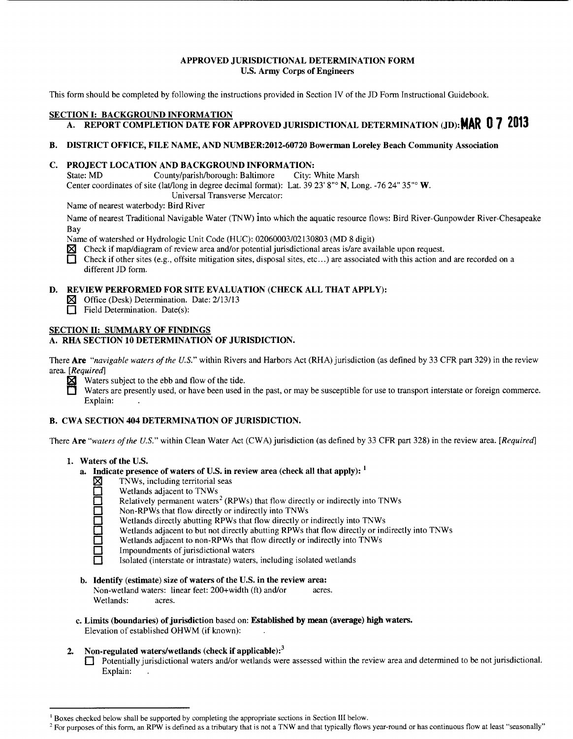#### APPROVED JURISDICTIONAL DETERMINATION FORM U.S. Army Corps of Engineers

This form should be completed by following the instructions provided in Section IV of the JD Form Instructional Guidebook.

# SECTION I: BACKGROUND INFORMATION

# A. REPORT COMPLETION DATE FOR APPROVED JURISDICTIONAL DETERMINATION (JD): **MAR 0 7 2013**

# B. DISTRICT OFFICE, FILE NAME, AND NUMBER:2012-60720 Bowerman Loreley Beach Community Association

# C. PROJECT LOCATION AND BACKGROUND INFORMATION:

State: MD County/parish/borough: Baltimore City: White Marsh Center coordinates of site (lat/long in degree decimal format): Lat.  $39\,23' 8''$ ° N, Long. -76  $24''\,35''$ ° W. Universal Transverse Mercator:

Name of nearest waterbody: Bird River

Name of nearest Traditional Navigable Water (TNW) into which the aquatic resource flows: Bird River-Gunpowder River-Chesapeake Bay

Name of watershed or Hydrologic Unit Code (HUC): 02060003/02130803 (MD 8 digit)

 $\boxtimes$  Check if map/diagram of review area and/or potential jurisdictional areas is/are available upon request.

 $\Box$  Check if other sites (e.g., offsite mitigation sites, disposal sites, etc...) are associated with this action and are recorded on a different JD form.

# D. REVIEW PERFORMED FOR SITE EVALUATION (CHECK ALL THAT APPLY):

**IST** Office (Desk) Determination. Date: 2/13/13

Field Determination. Date(s):

# SECTION II: SUMMARY OF FINDINGS

# A. RHA SECTION 10 DETERMINATION OF JURISDICTION.

There Are *"navigable waters of the U.S."* within Rivers and Harbors Act (RHA) jurisdiction (as defined by 33 CFR part 329) in the review area. *[Required]* 

Waters subject to the ebb and flow of the tide.<br>Waters are presently used, or have been used i

Waters are presently used, or have been used in the past, or may be susceptible for use to transport interstate or foreign commerce. Explain:

# B. CWA SECTION 404 DETERMINATION OF JURISDICTION.

There Are *"waters of the U.S."* within Clean Water Act (CWA) jurisdiction (as defined by 33 CFR part 328) in the review area. *[Required]* 

- 1. Waters of the U.S.
	- a. Indicate presence of waters of U.S. in review area (check all that apply):  $<sup>1</sup>$ </sup>
		- $\boxtimes$  TNWs, including territorial seas
		- Wetlands adjacent to TNWs
		- Relatively permanent waters<sup>2</sup> (RPWs) that flow directly or indirectly into TNWs
		- Non-RPWs that flow directly or indirectly into TNWs
		- 0 Wetlands directly abutting RPWs that flow directly or indirectly into TNWs
		- Wetlands adjacent to but not directly abutting RPWs that flow directly or indirectly into TNWs
		- Wetlands adjacent to non-RPWs that flow directly or indirectly into TNWs
		- Impoundments of jurisdictional waters
		- 0 Isolated (interstate or intrastate) waters, including isolated wetlands
	- b. Identify (estimate) size of waters of the U.S. in the review area:

Non-wetland waters: linear feet: 200+width (ft) and/or acres. Wetlands: acres.

c. Limits (boundaries) of jurisdiction based on: Established by mean (average) high waters. Elevation of established OHWM (if known):

# 2. Non-regulated waters/wetlands (check if applicable): $3$

0 Potentially jurisdictional waters and/or wetlands were assessed within the review area and determined to be not jurisdictional. Explain:

<sup>&</sup>lt;sup>1</sup> Boxes checked below shall be supported by completing the appropriate sections in Section III below.<br><sup>2</sup> For purposes of this form, an RPW is defined as a tributary that is not a TNW and that typically flows year-round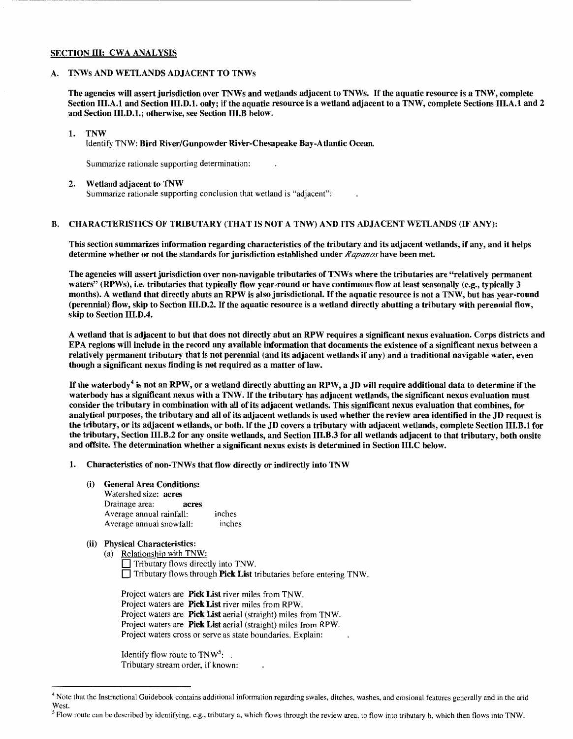#### SECTION III: CWA ANALYSIS

#### A. TNWs AND WETLANDS ADJACENT TO TNWs

The agencies will assert jurisdiction over TNWs and wetlands adjacent to TNWs. If the aquatic resource is a TNW, complete Section III.A.l and Section III.D.l. only; if the aquatic resource is a wetland adjacent to a TNW, complete Sections III.A.l and 2 and Section III.D.l.; otherwise, see Section III.B below.

#### 1. TNW

Identify TNW: Bird River/Gunpowder River-Chesapeake Bay-Atlantic Ocean.

Summarize rationale supporting determination:

#### 2. Wetland adjacent to TNW

Summarize rationale supporting conclusion that wetland is "adjacent":

#### B. CHARACTERISTICS OF TRIBUTARY (THAT IS NOT A TNW) AND ITS ADJACENT WETLANDS (IF ANY):

This section summarizes information regarding characteristics of the tributary and its adjacent wetlands, if any, and it helps determine whether or not the standards for jurisdiction established under *Rapanos* have been met.

The agencies will assert jurisdiction over non-navigable tributaries of TNWs where the tributaries are "relatively permanent waters" (RPWs), i.e. tributaries that typically flow year-round or have continuous flow at least seasonally (e.g., typically 3 months). A wetland that directly abuts an RPW is also jurisdictional. If the aquatic resource is not a TNW, but has year-round (perennial) flow, skip to Section III.D.2. If the aquatic resource is a wetland directly abutting a tributary with perennial flow, skip to Section III.D.4.

A wetland that is adjacent to but that does not directly abut an RPW requires a significant nexus evaluation. Corps districts and EPA regions will include in the record any available information that documents the existence of a significant nexus between a relatively permanent tributary that is not perennial (and its adjacent wetlands if any) and a traditional navigable water, even though a significant nexus finding is not required as a matter of law.

If the waterbody<sup>4</sup> is not an RPW, or a wetland directly abutting an RPW, a JD will require additional data to determine if the water body has a significant nexus with a TNW. If the tributary has adjacent wetlands, the significant nexus evaluation must consider the tributary in combination with all of its adjacent wetlands. This significant nexus evaluation that combines, for analytical purposes, the tributary and all of its adjacent wetlands is used whether the review area identified in the JD request is the tributary, or its adjacent wetlands, or both. If the JD covers a tributary with adjacent wetlands, complete Section III.B.l for the tributary, Section III.B.2 for any onsite wetlands, and Section III.B.3 for all wetlands adjacent to that tributary, both onsite and offsite. The determination whether a significant nexus exists is determined in Section III.C below.

- 1. Characteristics of non-TNWs that flow directly or indirectly into TNW
	- (i) General Area Conditions:
		- Watershed size: acres Drainage area: acres Average annual rainfall: inches Average annual snowfall: inches
	- (ii) Physical Characteristics:
		- (a) Relationship with TNW:

0 Tributary flows directly into TNW.  $\Box$  Tributary flows through **Pick List** tributaries before entering TNW.

Project waters are **Pick List** river miles from TNW. Project waters are **Pick List** river miles from RPW. Project waters are **Pick List** aerial (straight) miles from TNW. Project waters are **Pick List** aerial (straight) miles from RPW. Project waters cross or serve as state boundaries. Explain:

Identify flow route to  $TNW<sup>5</sup>$ : . Tributary stream order, if known:

<sup>4</sup> Note that the Instructional Guidebook contains additional information regarding swales, ditches, washes, and erosional features generally and in the arid West.

 $<sup>5</sup>$  Flow route can be described by identifying, e.g., tributary a, which flows through the review area, to flow into tributary b, which then flows into TNW.</sup>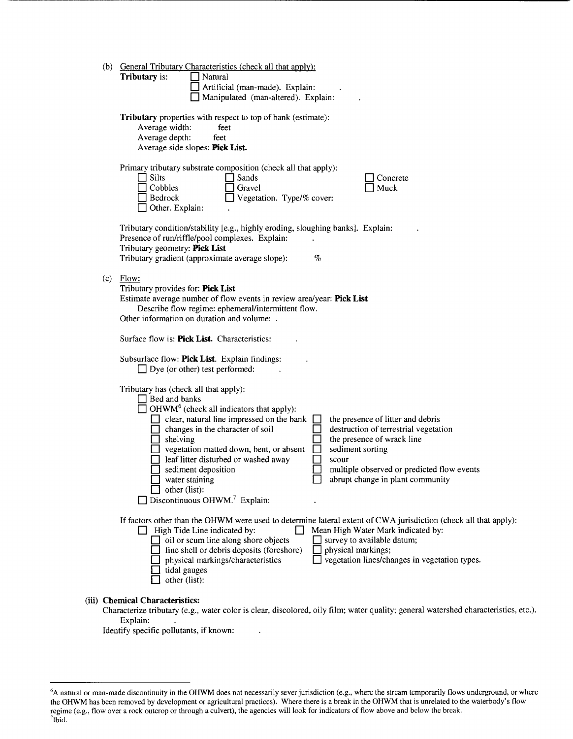| (b) | <b>General Tributary Characteristics (check all that apply):</b><br>Tributary is:<br>Natural<br>Artificial (man-made). Explain:<br>Manipulated (man-altered). Explain:                                                                                                                                                                                                                                                                                                                                                                                                                                                                                       |
|-----|--------------------------------------------------------------------------------------------------------------------------------------------------------------------------------------------------------------------------------------------------------------------------------------------------------------------------------------------------------------------------------------------------------------------------------------------------------------------------------------------------------------------------------------------------------------------------------------------------------------------------------------------------------------|
|     | Tributary properties with respect to top of bank (estimate):<br>Average width:<br>feet<br>Average depth:<br>feet<br>Average side slopes: Pick List.                                                                                                                                                                                                                                                                                                                                                                                                                                                                                                          |
|     | Primary tributary substrate composition (check all that apply):<br>$\Box$ Silts<br>Sands<br>Concrete<br>Cobbles<br>Gravel<br>Muck<br>Vegetation. Type/% cover:<br>Bedrock<br>Other. Explain:                                                                                                                                                                                                                                                                                                                                                                                                                                                                 |
|     | Tributary condition/stability [e.g., highly eroding, sloughing banks]. Explain:<br>Presence of run/riffle/pool complexes. Explain:<br>Tributary geometry: Pick List<br>Tributary gradient (approximate average slope):<br>$\%$                                                                                                                                                                                                                                                                                                                                                                                                                               |
| (c) | Flow:<br>Tributary provides for: Pick List<br>Estimate average number of flow events in review area/year: Pick List<br>Describe flow regime: ephemeral/intermittent flow.<br>Other information on duration and volume: .<br>Surface flow is: Pick List. Characteristics:                                                                                                                                                                                                                                                                                                                                                                                     |
|     | Subsurface flow: Pick List. Explain findings:<br>$\Box$ Dye (or other) test performed:                                                                                                                                                                                                                                                                                                                                                                                                                                                                                                                                                                       |
|     | Tributary has (check all that apply):<br>$\Box$ Bed and banks<br>$\Box$ OHWM <sup>6</sup> (check all indicators that apply):<br>clear, natural line impressed on the bank<br>the presence of litter and debris<br>destruction of terrestrial vegetation<br>changes in the character of soil<br>the presence of wrack line<br>shelving<br>sediment sorting<br>vegetation matted down, bent, or absent<br>leaf litter disturbed or washed away<br>scour<br>multiple observed or predicted flow events<br>sediment deposition<br>$\Box$ water staining<br>abrupt change in plant community<br>other (list):<br>$\Box$ Discontinuous OHWM. <sup>7</sup> Explain: |
|     | If factors other than the OHWM were used to determine lateral extent of CWA jurisdiction (check all that apply):<br>$\Box$ High Tide Line indicated by:<br>Mean High Water Mark indicated by:<br>$\Box$ oil or scum line along shore objects<br>$\Box$ survey to available datum;<br>fine shell or debris deposits (foreshore)<br>physical markings;<br>□ vegetation lines/changes in vegetation types.<br>physical markings/characteristics<br>tidal gauges<br>other (list):                                                                                                                                                                                |
|     | (iii) Chemical Characteristics:<br>Characterize tributary (e.g., water color is clear, discolored, oily film; water quality; general watershed characteristics, etc.).<br>Explain:                                                                                                                                                                                                                                                                                                                                                                                                                                                                           |

Identify specific pollutants, if known:

<sup>&</sup>lt;sup>6</sup>A natural or man-made discontinuity in the OHWM does not necessarily sever jurisdiction (e.g., where the stream temporarily flows underground, or where the OHWM has been removed by development or agricultural practices). Where there is a break in the OHWM that is unrelated to the waterbody's flow regime (e.g., flow over a rock outcrop or through a culvert), the agencies will look for indicators of flow above and below the break.<br><sup>7</sup>Ibid.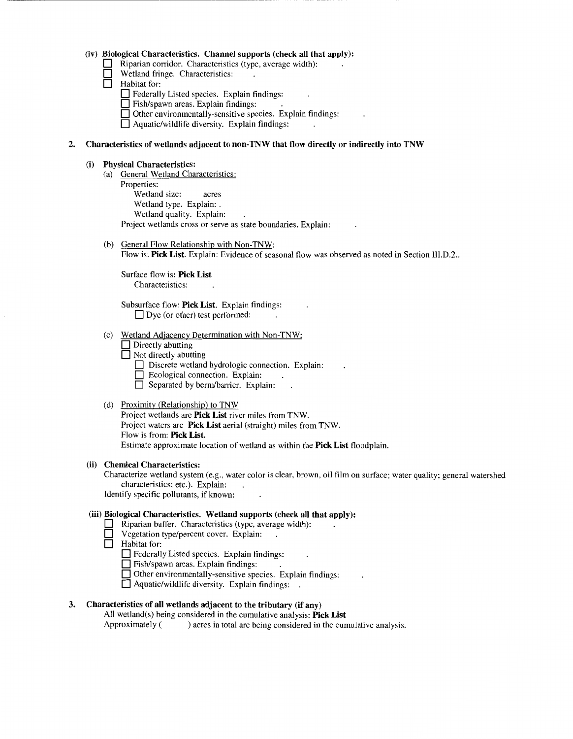#### **(iv) Biological Characteristics. Channel supports (check all that apply):**

- **0** Riparian corridor. Characteristics (type, average width):
- **0 Wetland fringe. Characteristics:**<br> **1 Habitat for:** 
	- **0** Habitat for:

**D** Federally Listed species. Explain findings:

- **0** Fish/spawn areas. Explain findings:
- $\Box$  Other environmentally-sensitive species. Explain findings:
- **0** Aquatic/wildlife diversity. Explain findings:

# **2. Characteristics of wetlands adjacent to non-TNW that flow directly or indirectly into TNW**

#### **(i) Physical Characteristics:**

- (a) General Wetland Characteristics: Properties: Wetland size: acres Wetland type. Explain:. Wetland quality. Explain: Project wetlands cross or serve as state boundaries. Explain:
- (b) General Flow Relationship with Non-TNW: Flow is: **Pick List.** Explain: Evidence of seasonal flow was observed as noted in Section III.D.2..

Surface flow is: **Pick List**  Characteristics:

Subsurface flow: **Pick List.** Explain findings: □ Dye (or other) test performed:

- (c) Wetland Adjacency Determination with Non-TNW:
	- **Directly abutting**
	- **D** Not directly abutting
		- **0** Discrete wetland hydrologic connection. Explain:
		- Ecological connection. Explain:
		- **0** Separated by berm/barrier. Explain:

#### (d) Proximity (Relationship) to TNW

Project wetlands are **Pick List** river miles from TNW. Project waters are **Pick List** aerial (straight) miles from TNW. Flow is from: **Pick List.**  Estimate approximate location of wetland as within the **Pick List** floodplain.

#### **(ii) Chemical Characteristics:**

Characterize wetland system (e.g., water color is clear, brown, oil film on surface; water quality; general watershed characteristics; etc.). Explain:

Identify specific pollutants, if known:

# **(iii) Biological Characteristics. Wetland supports (check all that apply):**

- **0** Riparian buffer. Characteristics (type, average width):
	- **0** Vegetation type/percent cover. Explain:
- **0** Habitat for:
	- **D** Federally Listed species. Explain findings:
	- **0** Fish/spawn areas. Explain findings:
	- 0 Other environmentally-sensitive species. Explain findings:
	- **0** Aquatic/wildlife diversity. Explain findings:

#### **3. Characteristics of all wetlands adjacent to the tributary (if any)**

All wetland(s) being considered in the cumulative analysis: **Pick List** 

Approximately () acres in total are being considered in the cumulative analysis.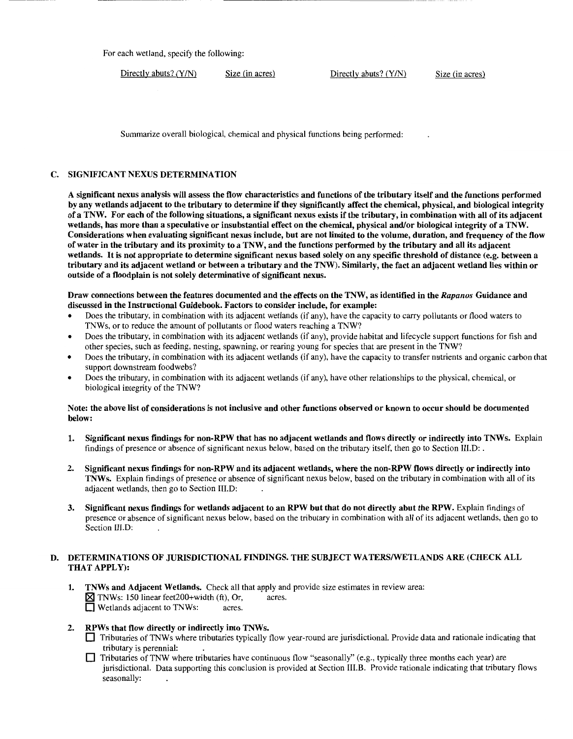For each wetland, specify the following:

Directly abuts? (Y/N) Size (in acres) Directly abuts? (Y/N) Size (in acres)

Summarize overall biological, chemical and physical functions being performed:

# C. SIGNIFICANT NEXUS DETERMINATION

A significant nexus analysis will assess the flow characteristics and functions of the tributary itself and the functions performed by any wetlands adjacent to the tributary to determine if they significantly affect the chemical, physical, and biological integrity of a TNW. For each of the following situations, a significant nexus exists if the tributary, in combination with all of its adjacent wetlands, has more than a speculative or insubstantial effect on the chemical, physical and/or biological integrity of a TNW. Considerations when evaluating significant nexus include, but are not limited to the volume, duration, and frequency of the flow of water in the tributary and its proximity to a TNW, and the functions performed by the tributary and all its adjacent wetlands. It is not appropriate to determine significant nexus based solely on any specific threshold of distance (e.g. between a tributary and its adjacent wetland or between a tributary and the TNW). Similarly, the fact an adjacent wetland lies within or outside of a floodplain is not solely determinative of significant nexus.

#### Draw connections between the features documented and the effects on the TNW, as identified in the *Rapanos* Guidance and discussed in the Instructional Guidebook. Factors to consider include, for example:

- Does the tributary, in combination with its adjacent wetlands (if any), have the capacity to carry pollutants or flood waters to TNWs, or to reduce the amount of pollutants or flood waters reaching a TNW?
- Does the tributary, in combination with its adjacent wetlands (if any), provide habitat and lifecycle support functions for fish and other species, such as feeding, nesting, spawning, or rearing young for species that are present in the TNW?
- Does the tributary, in combination with its adjacent wetlands (if any), have the capacity to transfer nutrients and organic carbon that support downstream foodwebs?
- Does the tributary, in combination with its adjacent wetlands (if any), have other relationships to the physical, chemical, or biological integrity of the TNW?

#### Note: the above list of considerations is not inclusive and other functions observed or known to occur should be documented below:

- 1. Significant nexus findings for non-RPW that has no adjacent wetlands and flows directly or indirectly into TNWs. Explain findings of presence or absence of significant nexus below, based on the tributary itself, then go to Section III.D: .
- 2. Significant nexus findings for non-RPW and its adjacent wetlands, where the non-RPW flows directly or indirectly into TNWs. Explain findings of presence or absence of significant nexus below, based on the tributary in combination with all of its adjacent wetlands, then go to Section III.D:
- 3. Significant nexus findings for wetlands adjacent to an RPW but that do not directly abut the RPW. Explain findings of presence or absence of significant nexus below, based on the tributary in combination with all of its adjacent wetlands, then go to Section III.D:

#### D. DETERMINATIONS OF JURISDICTIONAL FINDINGS. THE SUBJECT WATERS/WETLANDS ARE (CHECK ALL THAT APPLY):

- 1. TNWs and Adjacent Wetlands. Check all that apply and provide size estimates in review area:  $\boxtimes$  TNWs: 150 linear feet200+width (ft), Or, acres. **D** Wetlands adjacent to TNWs: acres.
- 2. RPWs that flow directly or indirectly into TNWs.
	- 0 Tributaries of TNWs where tributaries typically flow year-round are jurisdictional. Provide data and rationale indicating that tributary is perennial:
	- $\Box$  Tributaries of TNW where tributaries have continuous flow "seasonally" (e.g., typically three months each year) are jurisdictional. Data supporting this conclusion is provided at Section III.B. Provide rationale indicating that tributary flows seasonally: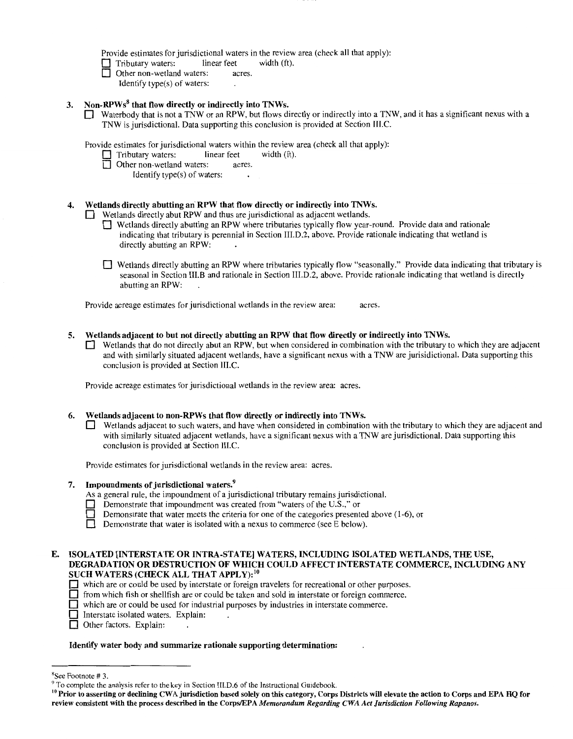Provide estimates for jurisdictional waters in the review area (check all that apply):<br>  $\Box$  Tributary waters: linear feet width (ft).

 $\Box$  Tributary waters: linear feet  $\Box$  Other non-wetland waters: ac

- Other non-wetland waters: acres.
	- Identify type(s) of waters:

# 3. Non-RPWs<sup>8</sup> that flow directly or indirectly into TNWs.

Waterbody that is not a TNW or an RPW, but flows directly or indirectly into a TNW, and it has a significant nexus with a TNW is jurisdictional. Data supporting this conclusion is provided at Section III.C.

Provide estimates for jurisdictional waters within the review area (check all that apply):<br>  $\Box$  Tributary waters: linear feet width (ft).

- Tributary waters:<br>
Other non-wetter
	- Other non-wetland waters: acres.
		- Identify type(s) of waters:

# Wetlands directly abutting an RPW that flow directly or indirectly into TNWs.

Wetlands directly abut RPW and thus are jurisdictional as adjacent wetlands.

- 0 Wetlands directly abutting an RPW where tributaries typically flow year-round. Provide data and rationale indicating that tributary is perennial in Section III.D.2, above. Provide rationale indicating that wetland is directly abutting an RPW:
- Wetlands directly abutting an RPW where tributaries typically flow "seasonally." Provide data indicating that tributary is seasonal in Section III.B and rationale in Section Ill.D.2, above. Provide rationale indicating that wetland is directly abutting an RPW:

Provide acreage estimates for jurisdictional wetlands in the review area: acres.

# 5. Wetlands adjacent to but not directly abutting an RPW that flow directly or indirectly into TNWs.

Wetlands that do not directly abut an RPW, but when considered in combination with the tributary to which they are adjacent and with similarly situated adjacent wetlands, have a significant nexus with a TNW are jurisidictional. Data supporting this conclusion is provided at Section III.C.

Provide acreage estimates for jurisdictional wetlands in the review area: acres.

#### 6. Wetlands adjacent to non-RPWs that flow directly or indirectly into TNWs.

Wetlands adjacent to such waters, and have when considered in combination with the tributary to which they are adjacent and with similarly situated adjacent wetlands, have a significant nexus with a TNW are jurisdictional. Data supporting this conclusion is provided at Section III.C.

Provide estimates for jurisdictional wetlands in the review area: acres.

7. Impoundments of jurisdictional waters.<sup>9</sup>

As a general rule, the impoundment of a jurisdictional tributary remains jurisdictional.

- Demonstrate that impoundment was created from "waters of the U.S.," or
- Demonstrate that water meets the criteria for one of the categories presented above  $(1-6)$ , or
- **Demonstrate that water is isolated with a nexus to commerce (see E below).**

### E. ISOLATED [INTERSTATE OR INTRA-STATE] WATERS, INCLUDING ISOLATED WETLANDS, THE USE, DEGRADATION OR DESTRUCTION OF WHICH COULD AFFECT INTERSTATE COMMERCE, INCLUDING ANY SUCH WATERS (CHECK ALL THAT APPLY):<sup>10</sup>

- 0 which are or could be used by interstate or foreign travelers for recreational or other purposes.
- $\Box$  from which fish or shellfish are or could be taken and sold in interstate or foreign commerce.
- $\Box$  which are or could be used for industrial purposes by industries in interstate commerce.
- $\Box$  Interstate isolated waters. Explain:
- $\Box$  Other factors. Explain:

#### Identify water body and summarize rationale supporting determination:

 $8$ See Footnote # 3.

<sup>&</sup>lt;sup>9</sup> To complete the analysis refer to the key in Section III.D.6 of the Instructional Guidebook.<br><sup>10</sup> Prior to asserting or declining CWA jurisdiction based solely on this category, Corps Districts will elevate the action review consistent with the process described in the Corps/EPA *Memorandum Regarding CWA Act Jurisdiction Following Rapanos.*